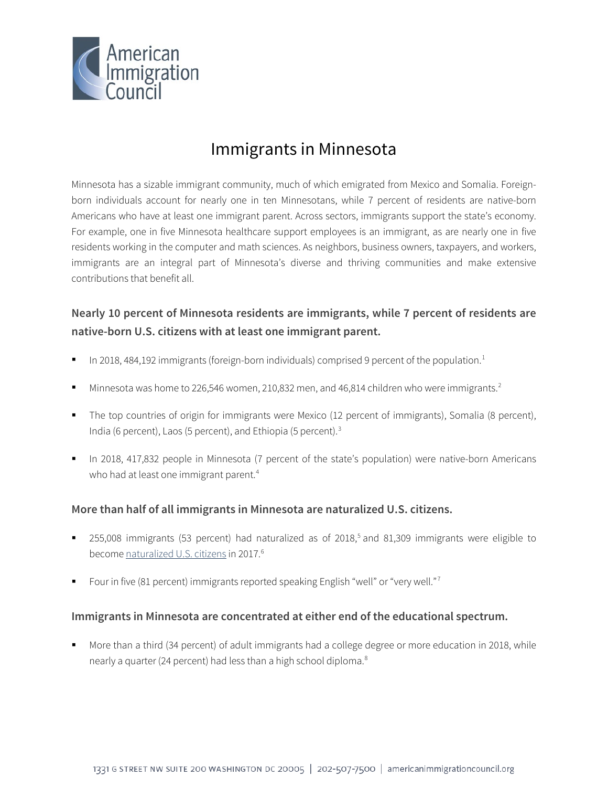

# Immigrants in Minnesota

Minnesota has a sizable immigrant community, much of which emigrated from Mexico and Somalia. Foreignborn individuals account for nearly one in ten Minnesotans, while 7 percent of residents are native-born Americans who have at least one immigrant parent. Across sectors, immigrants support the state's economy. For example, one in five Minnesota healthcare support employees is an immigrant, as are nearly one in five residents working in the computer and math sciences. As neighbors, business owners, taxpayers, and workers, immigrants are an integral part of Minnesota's diverse and thriving communities and make extensive contributions that benefit all.

## **Nearly 10 percent of Minnesota residents are immigrants, while 7 percent of residents are native-born U.S. citizens with at least one immigrant parent.**

- In 20[1](#page-4-0)8, 484,192 immigrants (foreign-born individuals) comprised 9 percent of the population.<sup>1</sup>
- Minnesota was home to [2](#page-4-1)26,546 women, 210,832 men, and 46,814 children who were immigrants.<sup>2</sup>
- The top countries of origin for immigrants were Mexico (12 percent of immigrants), Somalia (8 percent), India (6 percent), Laos (5 percent), and Ethiopia (5 percent).[3](#page-4-2)
- In 2018, 417,832 people in Minnesota (7 percent of the state's population) were native-born Americans who had at least one immigrant parent.<sup>[4](#page-4-3)</sup>

### **More than half of all immigrants in Minnesota are naturalized U.S. citizens.**

- 2[5](#page-4-4)5,008 immigrants (53 percent) had naturalized as of  $2018<sup>5</sup>$  and 81,309 immigrants were eligible to become [naturalized U.S. citizens](http://data.cmsny.org/state.html) in 2017.<sup>[6](#page-4-5)</sup>
- Four in five (81 percent) immigrants reported speaking English "well" or "very well."[7](#page-4-6)

### **Immigrants in Minnesota are concentrated at either end of the educational spectrum.**

 More than a third (34 percent) of adult immigrants had a college degree or more education in 2018, while nearly a quarter (24 percent) had less than a high school diploma.<sup>8</sup>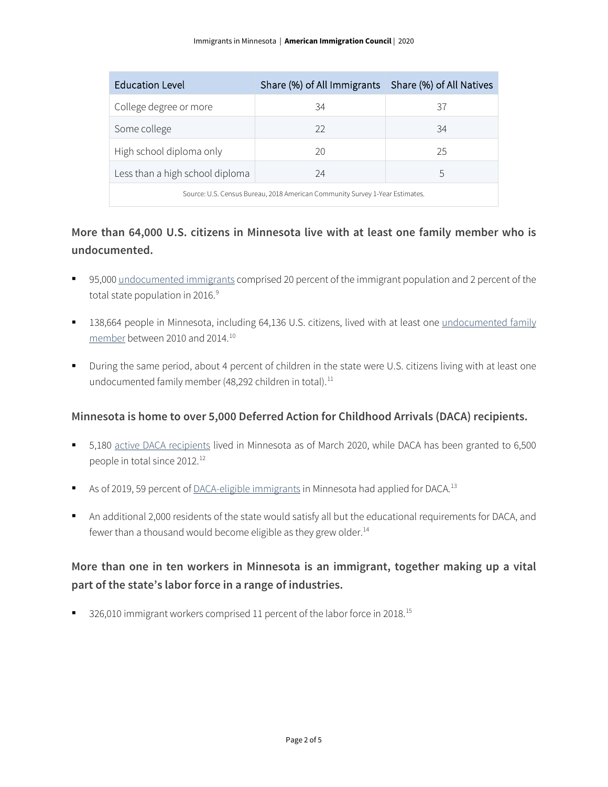| Education Level                                                              | Share (%) of All Immigrants   Share (%) of All Natives |    |  |
|------------------------------------------------------------------------------|--------------------------------------------------------|----|--|
| College degree or more                                                       | 34                                                     | 37 |  |
| Some college                                                                 | 22                                                     | 34 |  |
| High school diploma only                                                     | 20                                                     | 25 |  |
| Less than a high school diploma                                              | 24                                                     | 5  |  |
| Source: U.S. Census Bureau, 2018 American Community Survey 1-Year Estimates. |                                                        |    |  |

### **More than 64,000 U.S. citizens in Minnesota live with at least one family member who is undocumented.**

- 95,000 [undocumented immigrants](http://www.pewhispanic.org/interactives/unauthorized-immigrants/) comprised 20 percent of the immigrant population and 2 percent of the total state population in 2016.<sup>[9](#page-4-8)</sup>
- 138,664 people in Minnesota, including 64,136 U.S. citizens, lived with at least one undocumented family [member](https://www.americanprogress.org/issues/immigration/news/2017/03/16/427868/state-state-estimates-family-members-unauthorized-immigrants/) between 2010 and 2014.[10](#page-4-9)
- During the same period, about 4 percent of children in the state were U.S. citizens living with at least one undocumented family member (48,292 children in total).<sup>[11](#page-4-10)</sup>

### **Minnesota is home to over 5,000 Deferred Action for Childhood Arrivals (DACA) recipients.**

- 5,180 [active DACA recipients](https://www.uscis.gov/sites/default/files/document/data/Approximate%20Active%20DACA%20Receipts%20-%20March%2031%2C%202020.pdf) lived in Minnesota as of March 2020, while DACA has been granted to 6,500 people in total since 20[12](#page-4-11).<sup>12</sup>
- As of 2019, 59 percent o[f DACA-eligible immigrants](http://www.migrationpolicy.org/programs/data-hub/deferred-action-childhood-arrivals-daca-profiles) in Minnesota had applied for DACA.<sup>[13](#page-4-12)</sup>
- An additional 2,000 residents of the state would satisfy all but the educational requirements for DACA, and fewer than a thousand would become eligible as they grew older.<sup>[14](#page-4-13)</sup>

# **More than one in ten workers in Minnesota is an immigrant, together making up a vital part of the state's labor force in a range of industries.**

326,010 immigrant workers comprised 11 percent of the labor force in 2018.<sup>[15](#page-4-14)</sup>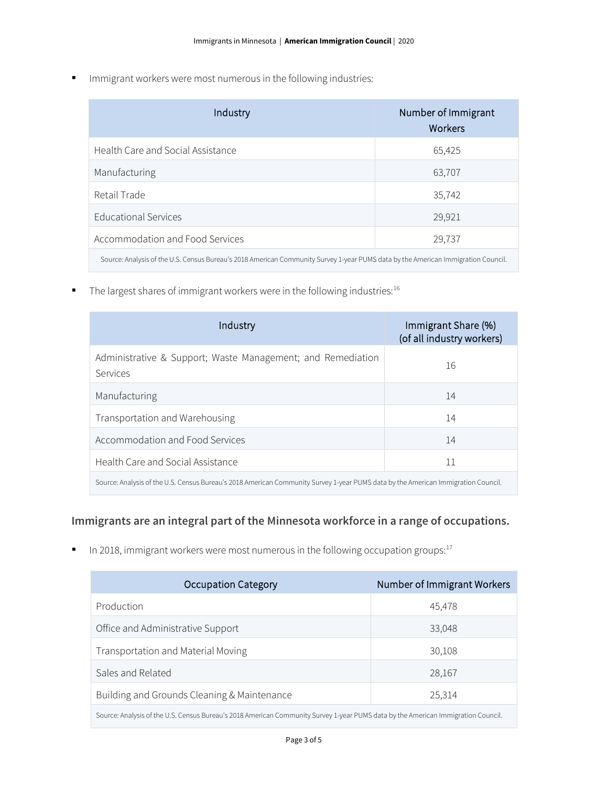**IMMI** Immigrant workers were most numerous in the following industries:

| Industry                                                                                                                          | Number of Immigrant<br>Workers |  |
|-----------------------------------------------------------------------------------------------------------------------------------|--------------------------------|--|
| Health Care and Social Assistance                                                                                                 | 65,425                         |  |
| Manufacturing                                                                                                                     | 63,707                         |  |
| Retail Trade                                                                                                                      | 35,742                         |  |
| <b>Educational Services</b>                                                                                                       | 29,921                         |  |
| Accommodation and Food Services                                                                                                   | 29,737                         |  |
| Source: Analysis of the U.S. Census Bureau's 2018 American Community Survey 1-year PUMS data by the American Immigration Council. |                                |  |

 $\blacksquare$  The largest shares of immigrant workers were in the following industries:<sup>16</sup>

| Industry                                                                                                                          | Immigrant Share (%)<br>(of all industry workers) |  |
|-----------------------------------------------------------------------------------------------------------------------------------|--------------------------------------------------|--|
| Administrative & Support; Waste Management; and Remediation<br>Services                                                           | 16                                               |  |
| Manufacturing                                                                                                                     | 14                                               |  |
| Transportation and Warehousing                                                                                                    | 14                                               |  |
| Accommodation and Food Services                                                                                                   | 14                                               |  |
| Health Care and Social Assistance                                                                                                 | 11                                               |  |
| Source: Analysis of the U.S. Census Bureau's 2018 American Community Survey 1-year PUMS data by the American Immigration Council. |                                                  |  |

### **Immigrants are an integral part of the Minnesota workforce in a range of occupations.**

In 2018, immigrant workers were most numerous in the following occupation groups: $17$ 

| <b>Occupation Category</b>                                                                                                        | Number of Immigrant Workers |  |
|-----------------------------------------------------------------------------------------------------------------------------------|-----------------------------|--|
| Production                                                                                                                        | 45,478                      |  |
| Office and Administrative Support                                                                                                 | 33,048                      |  |
| Transportation and Material Moving                                                                                                | 30,108                      |  |
| Sales and Related                                                                                                                 | 28,167                      |  |
| Building and Grounds Cleaning & Maintenance                                                                                       | 25,314                      |  |
| Source: Analysis of the U.S. Census Bureau's 2018 American Community Survey 1-year PUMS data by the American Immigration Council. |                             |  |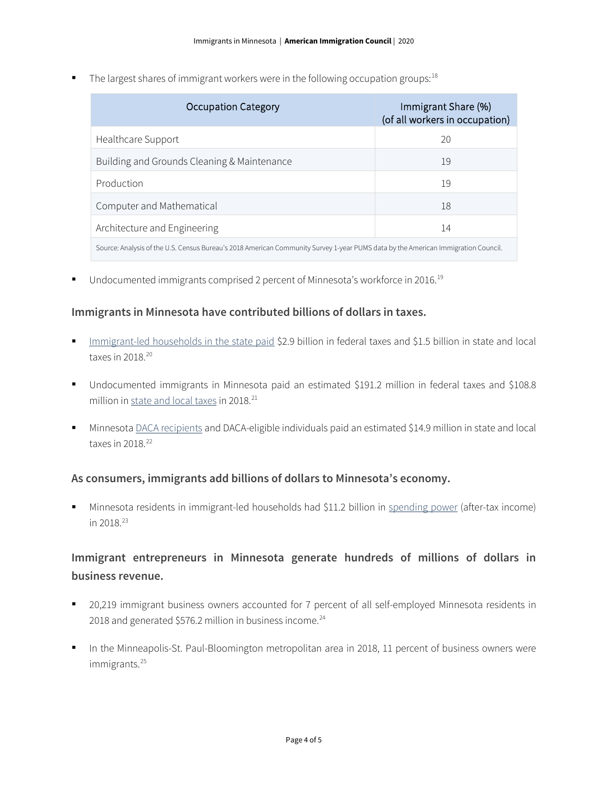The largest shares of immigrant workers were in the following occupation groups:  $18$ 

| <b>Occupation Category</b>                                                                                                        | Immigrant Share (%)<br>(of all workers in occupation) |  |
|-----------------------------------------------------------------------------------------------------------------------------------|-------------------------------------------------------|--|
| Healthcare Support                                                                                                                | 20                                                    |  |
| Building and Grounds Cleaning & Maintenance                                                                                       | 19                                                    |  |
| Production                                                                                                                        | 19                                                    |  |
| Computer and Mathematical                                                                                                         | 18                                                    |  |
| Architecture and Engineering                                                                                                      | 14                                                    |  |
| Source: Analysis of the U.S. Census Bureau's 2018 American Community Survey 1-year PUMS data by the American Immigration Council. |                                                       |  |

■ Undocumented immigrants comprised 2 percent of Minnesota's workforce in 2016.<sup>[19](#page-4-18)</sup>

#### **Immigrants in Minnesota have contributed billions of dollars in taxes.**

- [Immigrant-led households in the state paid](https://www.newamericaneconomy.org/locations/) \$2.9 billion in federal taxes and \$1.5 billion in state and local taxes in [20](#page-4-19)18.<sup>20</sup>
- Undocumented immigrants in Minnesota paid an estimated \$191.2 million in federal taxes and \$108.8 million i[n state and local taxes](https://www.newamericaneconomy.org/locations/) in 2018.<sup>[21](#page-4-20)</sup>
- Minnesota [DACA recipients](https://itep.org/state-local-tax-contributions-of-young-undocumented-immigrants/) and DACA-eligible individuals paid an estimated \$14.9 million in state and local taxes in  $2018.<sup>22</sup>$  $2018.<sup>22</sup>$  $2018.<sup>22</sup>$

#### **As consumers, immigrants add billions of dollars to Minnesota's economy.**

 Minnesota residents in immigrant-led households had \$11.2 billion in [spending power](https://www.newamericaneconomy.org/locations/) (after-tax income) in 2018.[23](#page-4-22)

### **Immigrant entrepreneurs in Minnesota generate hundreds of millions of dollars in business revenue.**

- 20,219 immigrant business owners accounted for 7 percent of all self-employed Minnesota residents in 2018 and generated \$576.2 million in business income.<sup>[24](#page-4-23)</sup>
- In the Minneapolis-St. Paul-Bloomington metropolitan area in 2018, 11 percent of business owners were immigrants.<sup>[25](#page-4-24)</sup>